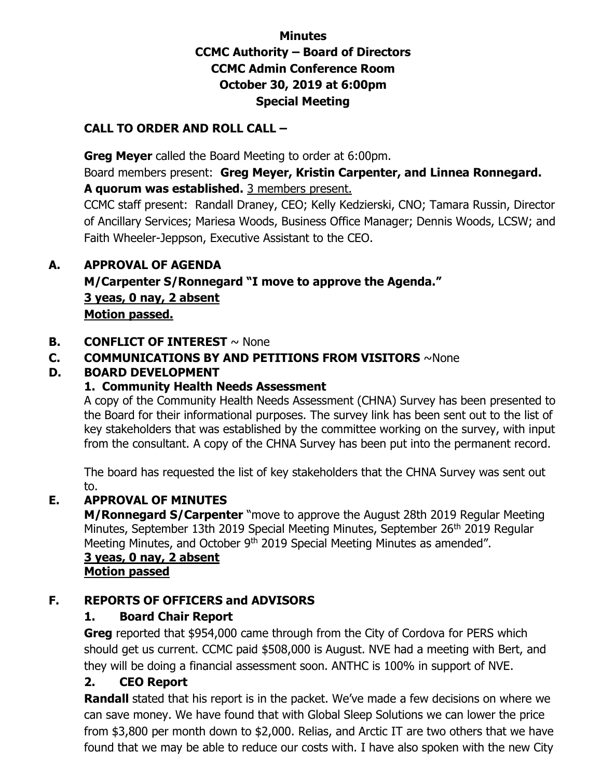### **Minutes CCMC Authority – Board of Directors CCMC Admin Conference Room October 30, 2019 at 6:00pm Special Meeting**

#### **CALL TO ORDER AND ROLL CALL –**

 **Greg Meyer** called the Board Meeting to order at 6:00pm.

Board members present: **Greg Meyer, Kristin Carpenter, and Linnea Ronnegard. A quorum was established.** 3 members present.

CCMC staff present: Randall Draney, CEO; Kelly Kedzierski, CNO; Tamara Russin, Director of Ancillary Services; Mariesa Woods, Business Office Manager; Dennis Woods, LCSW; and Faith Wheeler-Jeppson, Executive Assistant to the CEO.

#### **A. APPROVAL OF AGENDA**

**M/Carpenter S/Ronnegard "I move to approve the Agenda." 3 yeas, 0 nay, 2 absent Motion passed.** 

#### **B. CONFLICT OF INTEREST**  $\sim$  None

#### **C. COMMUNICATIONS BY AND PETITIONS FROM VISITORS** ~None

#### **D. BOARD DEVELOPMENT**

#### **1. Community Health Needs Assessment**

A copy of the Community Health Needs Assessment (CHNA) Survey has been presented to the Board for their informational purposes. The survey link has been sent out to the list of key stakeholders that was established by the committee working on the survey, with input from the consultant. A copy of the CHNA Survey has been put into the permanent record.

The board has requested the list of key stakeholders that the CHNA Survey was sent out to.

#### **E. APPROVAL OF MINUTES**

**M/Ronnegard S/Carpenter** "move to approve the August 28th 2019 Regular Meeting Minutes, September 13th 2019 Special Meeting Minutes, September 26<sup>th</sup> 2019 Regular Meeting Minutes, and October 9<sup>th</sup> 2019 Special Meeting Minutes as amended".

 **3 yeas, 0 nay, 2 absent Motion passed** 

#### **F. REPORTS OF OFFICERS and ADVISORS**

### **1. Board Chair Report**

**Greg** reported that \$954,000 came through from the City of Cordova for PERS which should get us current. CCMC paid \$508,000 is August. NVE had a meeting with Bert, and they will be doing a financial assessment soon. ANTHC is 100% in support of NVE.

### **2. CEO Report**

**Randall** stated that his report is in the packet. We've made a few decisions on where we can save money. We have found that with Global Sleep Solutions we can lower the price from \$3,800 per month down to \$2,000. Relias, and Arctic IT are two others that we have found that we may be able to reduce our costs with. I have also spoken with the new City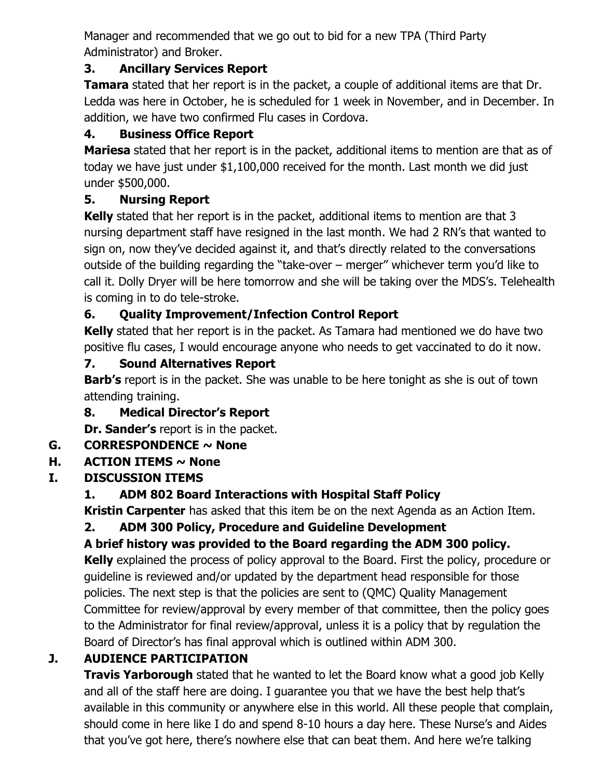Manager and recommended that we go out to bid for a new TPA (Third Party Administrator) and Broker.

### **3. Ancillary Services Report**

**Tamara** stated that her report is in the packet, a couple of additional items are that Dr. Ledda was here in October, he is scheduled for 1 week in November, and in December. In addition, we have two confirmed Flu cases in Cordova.

### **4. Business Office Report**

**Mariesa** stated that her report is in the packet, additional items to mention are that as of today we have just under \$1,100,000 received for the month. Last month we did just under \$500,000.

# **5. Nursing Report**

**Kelly** stated that her report is in the packet, additional items to mention are that 3 nursing department staff have resigned in the last month. We had 2 RN's that wanted to sign on, now they've decided against it, and that's directly related to the conversations outside of the building regarding the "take-over – merger" whichever term you'd like to call it. Dolly Dryer will be here tomorrow and she will be taking over the MDS's. Telehealth is coming in to do tele-stroke.

# **6. Quality Improvement/Infection Control Report**

**Kelly** stated that her report is in the packet. As Tamara had mentioned we do have two positive flu cases, I would encourage anyone who needs to get vaccinated to do it now.

# **7. Sound Alternatives Report**

**Barb's** report is in the packet. She was unable to be here tonight as she is out of town attending training.

# **8. Medical Director's Report**

**Dr. Sander's** report is in the packet.

# **G. CORRESPONDENCE ~ None**

# **H. ACTION ITEMS ~ None**

# **I. DISCUSSION ITEMS**

# **1. ADM 802 Board Interactions with Hospital Staff Policy**

 **Kristin Carpenter** has asked that this item be on the next Agenda as an Action Item.

# **2. ADM 300 Policy, Procedure and Guideline Development**

# **A brief history was provided to the Board regarding the ADM 300 policy.**

**Kelly** explained the process of policy approval to the Board. First the policy, procedure or guideline is reviewed and/or updated by the department head responsible for those policies. The next step is that the policies are sent to (QMC) Quality Management Committee for review/approval by every member of that committee, then the policy goes to the Administrator for final review/approval, unless it is a policy that by regulation the Board of Director's has final approval which is outlined within ADM 300.

# **J. AUDIENCE PARTICIPATION**

**Travis Yarborough** stated that he wanted to let the Board know what a good job Kelly and all of the staff here are doing. I guarantee you that we have the best help that's available in this community or anywhere else in this world. All these people that complain, should come in here like I do and spend 8-10 hours a day here. These Nurse's and Aides that you've got here, there's nowhere else that can beat them. And here we're talking